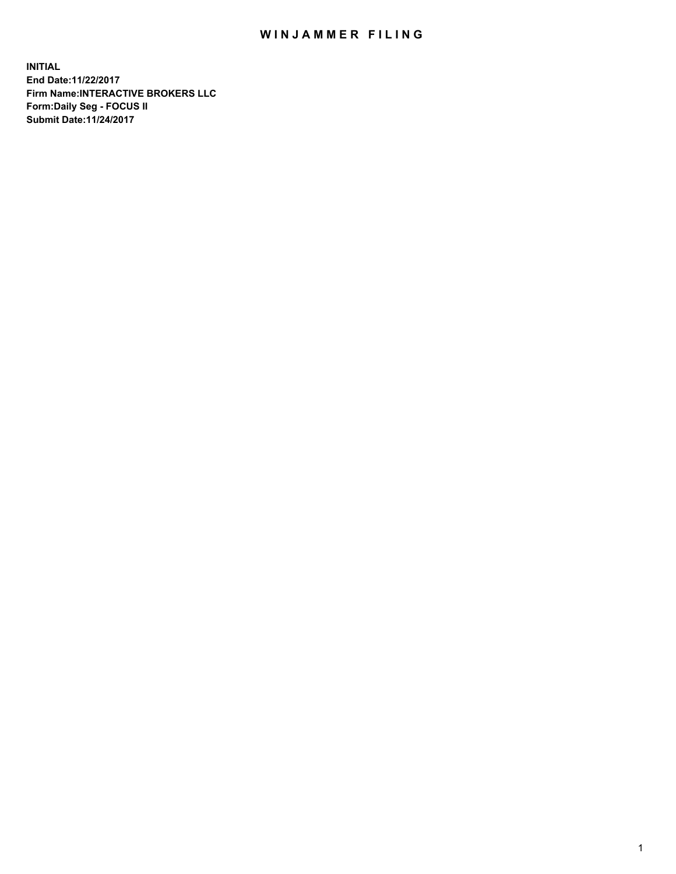## WIN JAMMER FILING

**INITIAL End Date:11/22/2017 Firm Name:INTERACTIVE BROKERS LLC Form:Daily Seg - FOCUS II Submit Date:11/24/2017**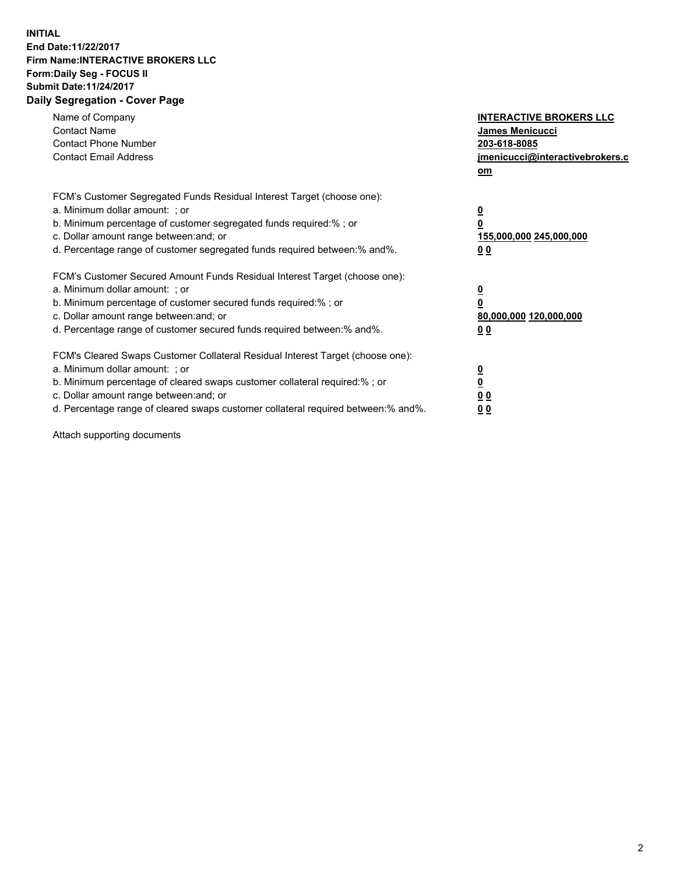## **INITIAL End Date:11/22/2017 Firm Name:INTERACTIVE BROKERS LLC Form:Daily Seg - FOCUS II Submit Date:11/24/2017 Daily Segregation - Cover Page**

| Name of Company<br><b>Contact Name</b><br><b>Contact Phone Number</b><br><b>Contact Email Address</b>                                                                                                                                                                                                                          | <b>INTERACTIVE BROKERS LLC</b><br><b>James Menicucci</b><br>203-618-8085<br>jmenicucci@interactivebrokers.c<br>om |
|--------------------------------------------------------------------------------------------------------------------------------------------------------------------------------------------------------------------------------------------------------------------------------------------------------------------------------|-------------------------------------------------------------------------------------------------------------------|
| FCM's Customer Segregated Funds Residual Interest Target (choose one):<br>a. Minimum dollar amount: ; or<br>b. Minimum percentage of customer segregated funds required:%; or<br>c. Dollar amount range between: and; or<br>d. Percentage range of customer segregated funds required between:% and%.                          | $\overline{\mathbf{0}}$<br>0<br>155,000,000 245,000,000<br>0 <sub>0</sub>                                         |
| FCM's Customer Secured Amount Funds Residual Interest Target (choose one):<br>a. Minimum dollar amount: ; or<br>b. Minimum percentage of customer secured funds required:%; or<br>c. Dollar amount range between: and; or<br>d. Percentage range of customer secured funds required between: % and %.                          | $\overline{\mathbf{0}}$<br>0<br>80,000,000 120,000,000<br>0 <sub>0</sub>                                          |
| FCM's Cleared Swaps Customer Collateral Residual Interest Target (choose one):<br>a. Minimum dollar amount: ; or<br>b. Minimum percentage of cleared swaps customer collateral required:% ; or<br>c. Dollar amount range between: and; or<br>d. Percentage range of cleared swaps customer collateral required between:% and%. | $\overline{\mathbf{0}}$<br>$\overline{\mathbf{0}}$<br>0 <sub>0</sub><br><u>00</u>                                 |

Attach supporting documents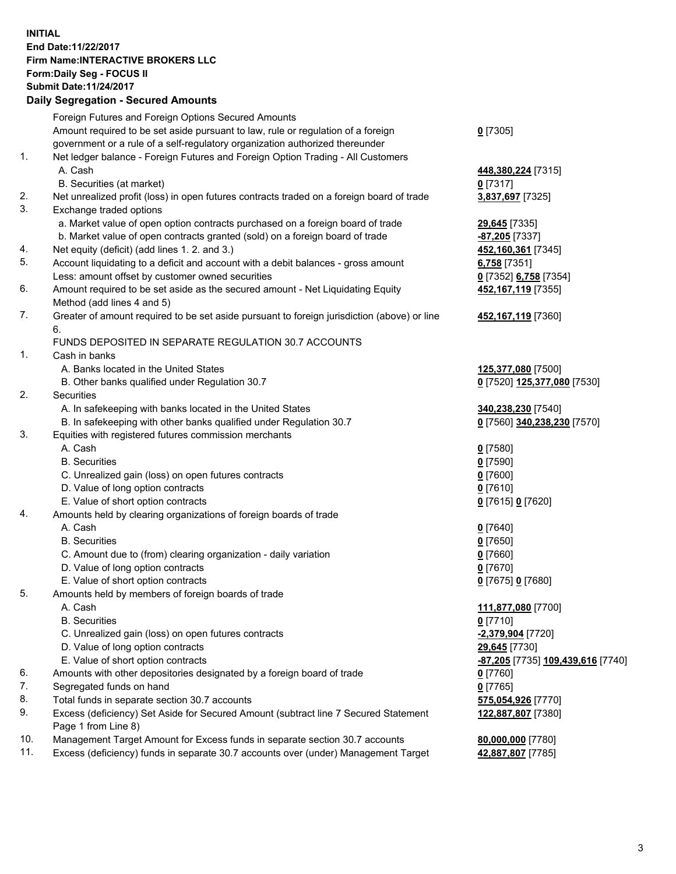## **INITIAL End Date:11/22/2017 Firm Name:INTERACTIVE BROKERS LLC Form:Daily Seg - FOCUS II Submit Date:11/24/2017 Daily Segregation - Secured Amounts**

|     | Daily Jegiegation - Jeculed Aniounts                                                        |                                   |
|-----|---------------------------------------------------------------------------------------------|-----------------------------------|
|     | Foreign Futures and Foreign Options Secured Amounts                                         |                                   |
|     | Amount required to be set aside pursuant to law, rule or regulation of a foreign            | $0$ [7305]                        |
|     | government or a rule of a self-regulatory organization authorized thereunder                |                                   |
| 1.  | Net ledger balance - Foreign Futures and Foreign Option Trading - All Customers             |                                   |
|     | A. Cash                                                                                     | 448,380,224 [7315]                |
|     | B. Securities (at market)                                                                   | $0$ [7317]                        |
| 2.  | Net unrealized profit (loss) in open futures contracts traded on a foreign board of trade   | 3,837,697 [7325]                  |
| 3.  | Exchange traded options                                                                     |                                   |
|     | a. Market value of open option contracts purchased on a foreign board of trade              | 29,645 [7335]                     |
|     | b. Market value of open contracts granted (sold) on a foreign board of trade                | $-87,205$ [7337]                  |
| 4.  | Net equity (deficit) (add lines 1.2. and 3.)                                                | 452,160,361 [7345]                |
| 5.  | Account liquidating to a deficit and account with a debit balances - gross amount           | 6,758 [7351]                      |
|     | Less: amount offset by customer owned securities                                            | 0 [7352] 6,758 [7354]             |
| 6.  | Amount required to be set aside as the secured amount - Net Liquidating Equity              | 452, 167, 119 [7355]              |
|     | Method (add lines 4 and 5)                                                                  |                                   |
| 7.  | Greater of amount required to be set aside pursuant to foreign jurisdiction (above) or line | 452,167,119 [7360]                |
|     | 6.                                                                                          |                                   |
|     | FUNDS DEPOSITED IN SEPARATE REGULATION 30.7 ACCOUNTS                                        |                                   |
| 1.  | Cash in banks                                                                               |                                   |
|     | A. Banks located in the United States                                                       | 125,377,080 [7500]                |
|     | B. Other banks qualified under Regulation 30.7                                              | 0 [7520] 125,377,080 [7530]       |
| 2.  | Securities                                                                                  |                                   |
|     | A. In safekeeping with banks located in the United States                                   | 340,238,230 [7540]                |
|     | B. In safekeeping with other banks qualified under Regulation 30.7                          | 0 [7560] 340,238,230 [7570]       |
| 3.  | Equities with registered futures commission merchants                                       |                                   |
|     | A. Cash                                                                                     | $0$ [7580]                        |
|     | <b>B.</b> Securities                                                                        | $0$ [7590]                        |
|     | C. Unrealized gain (loss) on open futures contracts                                         | $0$ [7600]                        |
|     | D. Value of long option contracts                                                           | $0$ [7610]                        |
|     | E. Value of short option contracts                                                          | 0 [7615] 0 [7620]                 |
| 4.  | Amounts held by clearing organizations of foreign boards of trade                           |                                   |
|     | A. Cash                                                                                     | $0$ [7640]                        |
|     | <b>B.</b> Securities                                                                        | $0$ [7650]                        |
|     | C. Amount due to (from) clearing organization - daily variation                             | $0$ [7660]                        |
|     | D. Value of long option contracts                                                           | $0$ [7670]                        |
|     | E. Value of short option contracts                                                          | 0 [7675] 0 [7680]                 |
| 5.  | Amounts held by members of foreign boards of trade                                          |                                   |
|     | A. Cash                                                                                     | 111,877,080 [7700]                |
|     | <b>B.</b> Securities                                                                        | $0$ [7710]                        |
|     | C. Unrealized gain (loss) on open futures contracts                                         | -2,379,904 [7720]                 |
|     | D. Value of long option contracts                                                           | 29,645 [7730]                     |
|     | E. Value of short option contracts                                                          | -87,205 [7735] 109,439,616 [7740] |
| 6.  | Amounts with other depositories designated by a foreign board of trade                      | $0$ [7760]                        |
| 7.  | Segregated funds on hand                                                                    | $0$ [7765]                        |
| 8.  | Total funds in separate section 30.7 accounts                                               | 575,054,926 [7770]                |
| 9.  | Excess (deficiency) Set Aside for Secured Amount (subtract line 7 Secured Statement         | 122,887,807 [7380]                |
|     | Page 1 from Line 8)                                                                         |                                   |
| 10. | Management Target Amount for Excess funds in separate section 30.7 accounts                 | 80,000,000 [7780]                 |
| 11. | Excess (deficiency) funds in separate 30.7 accounts over (under) Management Target          | 42,887,807 [7785]                 |
|     |                                                                                             |                                   |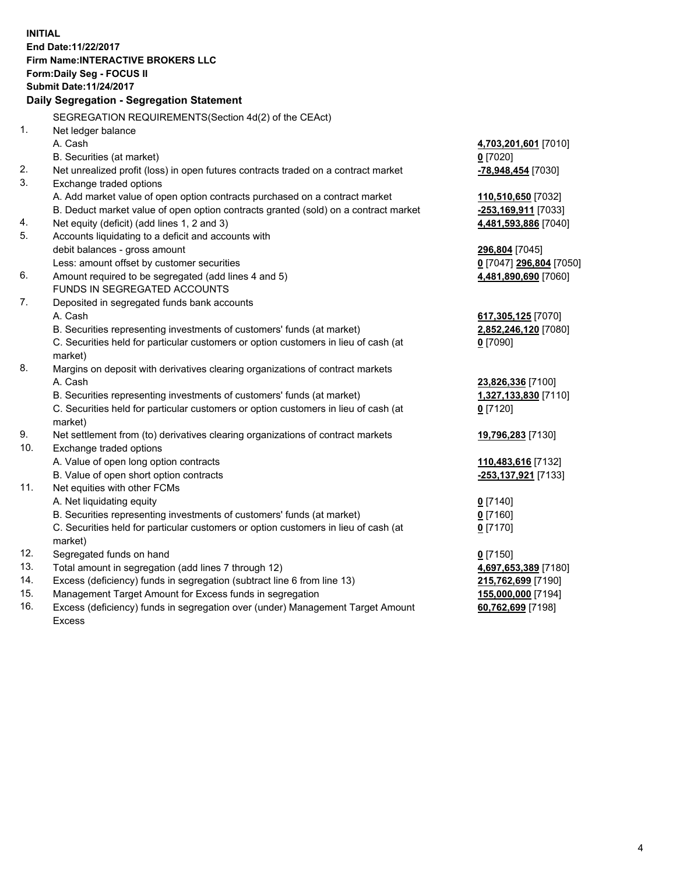**INITIAL End Date:11/22/2017 Firm Name:INTERACTIVE BROKERS LLC Form:Daily Seg - FOCUS II Submit Date:11/24/2017 Daily Segregation - Segregation Statement** SEGREGATION REQUIREMENTS(Section 4d(2) of the CEAct) 1. Net ledger balance A. Cash **4,703,201,601** [7010] B. Securities (at market) **0** [7020] 2. Net unrealized profit (loss) in open futures contracts traded on a contract market **-78,948,454** [7030] 3. Exchange traded options A. Add market value of open option contracts purchased on a contract market **110,510,650** [7032] B. Deduct market value of open option contracts granted (sold) on a contract market **-253,169,911** [7033] 4. Net equity (deficit) (add lines 1, 2 and 3) **4,481,593,886** [7040] 5. Accounts liquidating to a deficit and accounts with debit balances - gross amount **296,804** [7045] Less: amount offset by customer securities **0** [7047] **296,804** [7050] 6. Amount required to be segregated (add lines 4 and 5) **4,481,890,690** [7060] FUNDS IN SEGREGATED ACCOUNTS 7. Deposited in segregated funds bank accounts A. Cash **617,305,125** [7070] B. Securities representing investments of customers' funds (at market) **2,852,246,120** [7080] C. Securities held for particular customers or option customers in lieu of cash (at market) **0** [7090] 8. Margins on deposit with derivatives clearing organizations of contract markets A. Cash **23,826,336** [7100] B. Securities representing investments of customers' funds (at market) **1,327,133,830** [7110] C. Securities held for particular customers or option customers in lieu of cash (at market) **0** [7120] 9. Net settlement from (to) derivatives clearing organizations of contract markets **19,796,283** [7130] 10. Exchange traded options A. Value of open long option contracts **110,483,616** [7132] B. Value of open short option contracts **-253,137,921** [7133] 11. Net equities with other FCMs A. Net liquidating equity **0** [7140] B. Securities representing investments of customers' funds (at market) **0** [7160] C. Securities held for particular customers or option customers in lieu of cash (at market) **0** [7170] 12. Segregated funds on hand **0** [7150] 13. Total amount in segregation (add lines 7 through 12) **4,697,653,389** [7180] 14. Excess (deficiency) funds in segregation (subtract line 6 from line 13) **215,762,699** [7190] 15. Management Target Amount for Excess funds in segregation **155,000,000** [7194] **60,762,699** [7198]

16. Excess (deficiency) funds in segregation over (under) Management Target Amount Excess